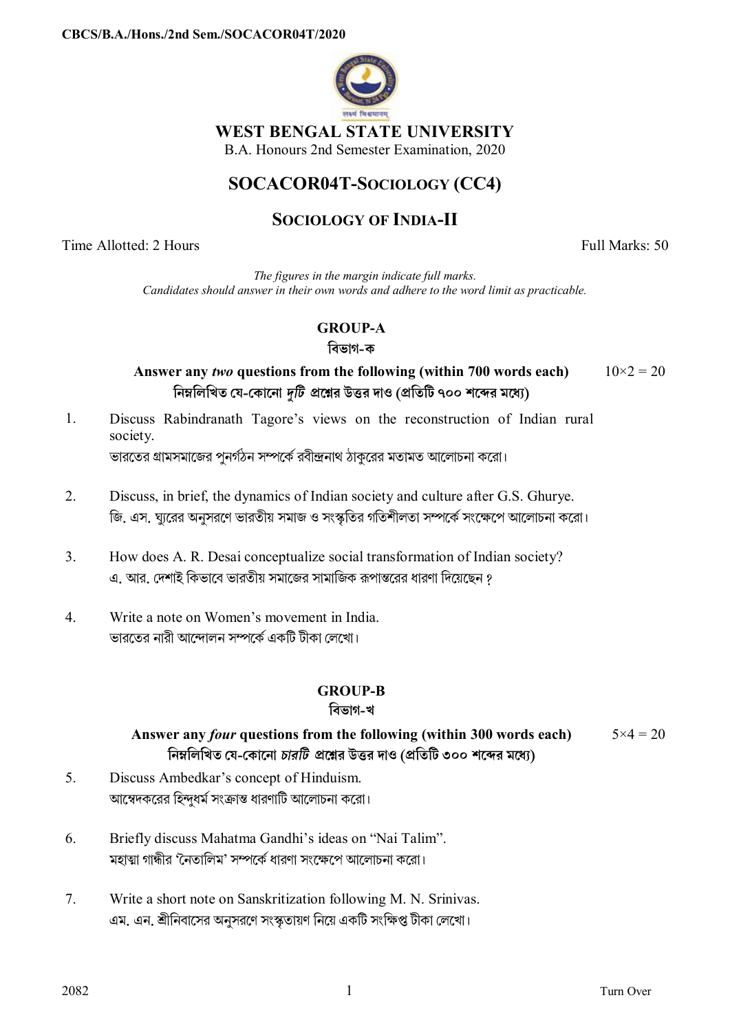

## **WEST BENGAL STATE UNIVERSITY**

B.A. Honours 2nd Semester Examination, 2020

# **SOCACOR04T-SOCIOLOGY (CC4)**

# **SOCIOLOGY OF INDIA-II**

Time Allotted: 2 Hours Full Marks: 50

*The figures in the margin indicate full marks. Candidates should answer in their own words and adhere to the word limit as practicable.*

# **GROUP-A**

### **িবভাগ-ক**

**Answer any** *two* **questions from the following (within 700 words each) িনmিলিখত েয-েকােনা** *dিট* **pেűর উtর দাও (pিতিট ৭০০ শেbর মেধ°)**  $10\times2 = 20$ 

- 1. Discuss Rabindranath Tagore's views on the reconstruction of Indian rural society. ভারতের গ্রামসমাজের পুনর্গঠন সম্পর্কে রবীন্দ্রনাথ ঠাকুরের মতামত আলোচনা করো।
- 2. Discuss, in brief, the dynamics of Indian society and culture after G.S. Ghurye. জি. এস. ঘারের অনুসরণে ভারতীয় সমাজ ও সংস্কৃতির গতিশীলতা সম্পর্কে সংক্ষেপে আলোচনা করো।
- 3. How does A. R. Desai conceptualize social transformation of Indian society? এ. আর. দেশাই কিভাবে ভারতীয় সমাজের সামাজিক রূপান্তরের ধারণা দিয়েছেন ?
- 4. Write a note on Women's movement in India. ভারতের নারী আন্দোলন সম্পর্কে একটি টীকা লেখো।

# **GROUP-B**

## **িবভাগ-খ**

#### **Answer any** *four* **questions from the following (within 300 words each) িনmিলিখত েয-েকােনা** *চারিট* **pেűর উtর দাও (pিতিট ৩০০ শেbর মেধ°)**  $5 \times 4 = 20$

- 5. Discuss Ambedkar's concept of Hinduism. আম্বেদকরের হিন্দুধর্ম সংক্রান্ত ধারণাটি আলোচনা করো।
- 6. Briefly discuss Mahatma Gandhi's ideas on "Nai Talim". মহাত্মা গান্ধীর 'নৈতালিম' সম্পর্কে ধারণা সংক্ষেপে আলোচনা করো।
- 7. Write a short note on Sanskritization following M. N. Srinivas. এম. এন. শ্রীনিবাসের অনুসরণে সংস্কৃতায়ণ নিয়ে একটি সংক্ষিপ্ত টীকা লেখাে।